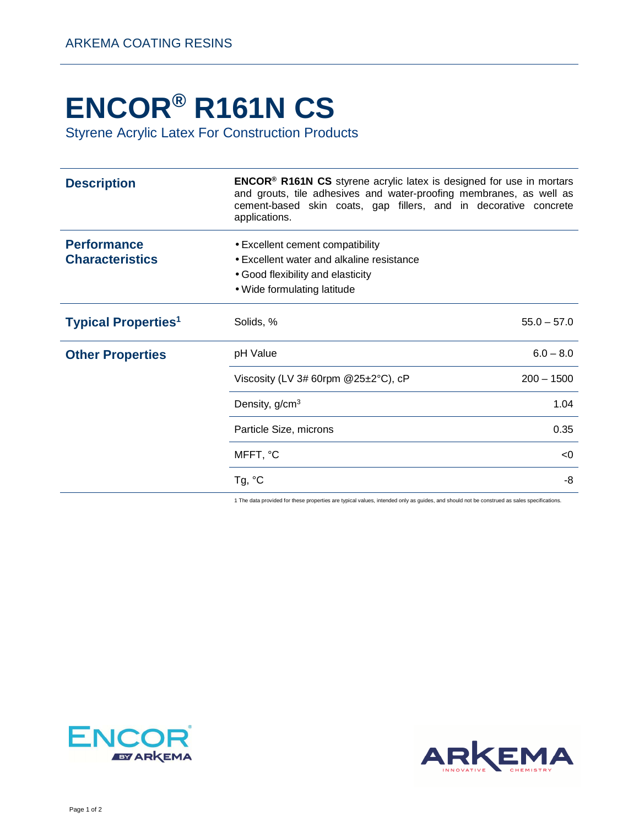## **ENCOR® R161N CS**

Styrene Acrylic Latex For Construction Products

| <b>Description</b>                           | <b>ENCOR<sup>®</sup> R161N CS</b> styrene acrylic latex is designed for use in mortars<br>and grouts, tile adhesives and water-proofing membranes, as well as<br>cement-based skin coats, gap fillers, and in decorative concrete<br>applications. |               |
|----------------------------------------------|----------------------------------------------------------------------------------------------------------------------------------------------------------------------------------------------------------------------------------------------------|---------------|
| <b>Performance</b><br><b>Characteristics</b> | • Excellent cement compatibility<br>• Excellent water and alkaline resistance<br>• Good flexibility and elasticity<br>• Wide formulating latitude                                                                                                  |               |
| <b>Typical Properties<sup>1</sup></b>        | Solids, %                                                                                                                                                                                                                                          | $55.0 - 57.0$ |
| <b>Other Properties</b>                      | pH Value                                                                                                                                                                                                                                           | $6.0 - 8.0$   |
|                                              | Viscosity (LV 3# 60rpm @25±2°C), cP                                                                                                                                                                                                                | $200 - 1500$  |
|                                              | Density, g/cm <sup>3</sup>                                                                                                                                                                                                                         | 1.04          |
|                                              | Particle Size, microns                                                                                                                                                                                                                             | 0.35          |
|                                              | MFFT, °C                                                                                                                                                                                                                                           | < 0           |
|                                              | Tg, $^{\circ}$ C                                                                                                                                                                                                                                   | -8            |

1 The data provided for these properties are typical values, intended only as guides, and should not be construed as sales specifications.